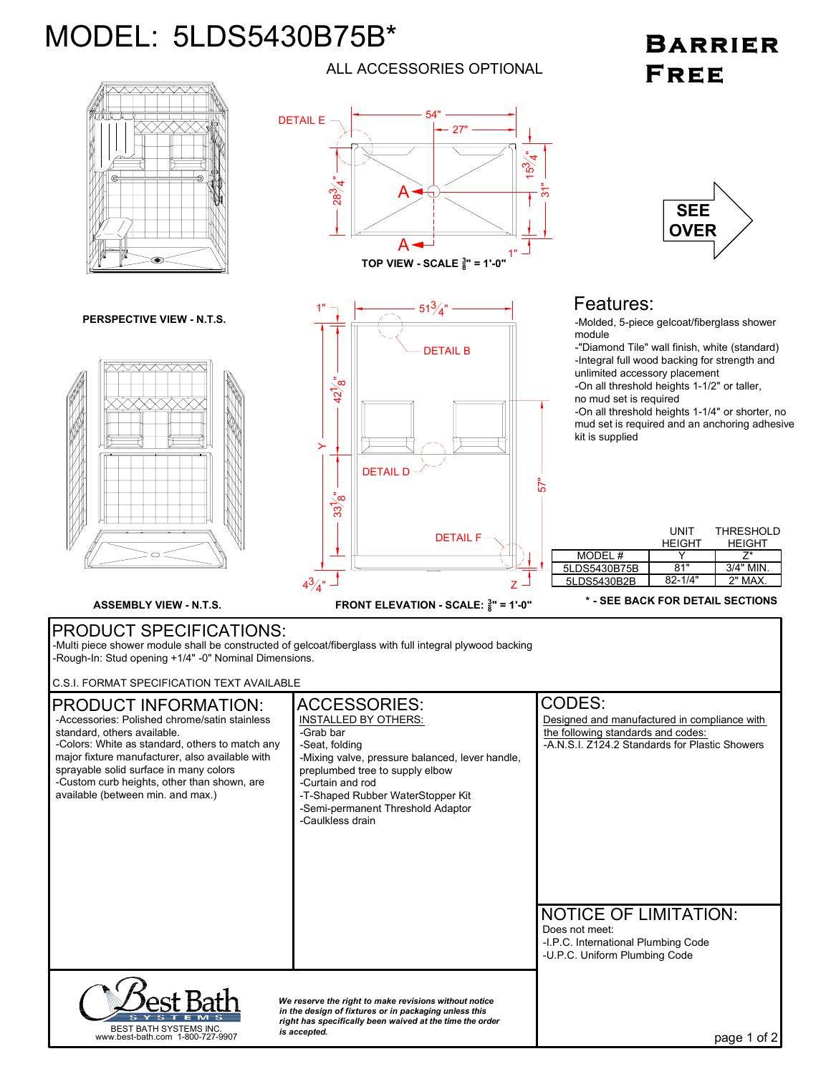## MODEL: 5LDS5430B75B\*

## **BARRIER** FREE



ALL ACCESSORIES OPTIONAL